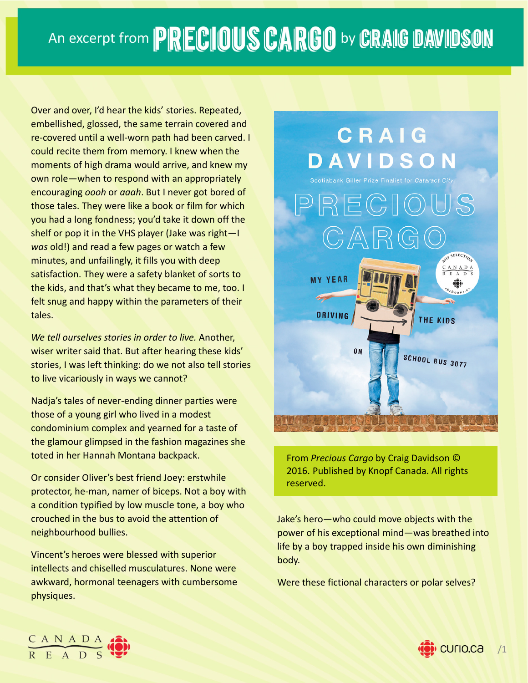## An excerpt from PRECIOUS CARGO by CRAIG DAVIDSON

Over and over, I'd hear the kids' stories. Repeated, embellished, glossed, the same terrain covered and re‐covered until a well‐worn path had been carved. I could recite them from memory. I knew when the moments of high drama would arrive, and knew my own role—when to respond with an appropriately encouraging *oooh* or *aaah*. But I never got bored of those tales. They were like a book or film for which you had a long fondness; you'd take it down off the shelf or pop it in the VHS player (Jake was right—I *was* old!) and read a few pages or watch a few minutes, and unfailingly, it fills you with deep satisfaction. They were a safety blanket of sorts to the kids, and that's what they became to me, too. I felt snug and happy within the parameters of their tales.

*We tell ourselves stories in order to live.* Another, wiser writer said that. But after hearing these kids' stories, I was left thinking: do we not also tell stories to live vicariously in ways we cannot?

Nadja's tales of never‐ending dinner parties were those of a young girl who lived in a modest condominium complex and yearned for a taste of the glamour glimpsed in the fashion magazines she toted in her Hannah Montana backpack.

Or consider Oliver's best friend Joey: erstwhile protector, he‐man, namer of biceps. Not a boy with a condition typified by low muscle tone, a boy who crouched in the bus to avoid the attention of neighbourhood bullies.

Vincent's heroes were blessed with superior intellects and chiselled musculatures. None were awkward, hormonal teenagers with cumbersome physiques.



From *Precious Cargo* by Craig Davidson © 2016. Published by Knopf Canada. All rights reserved.

Jake's hero—who could move objects with the power of his exceptional mind—was breathed into life by a boy trapped inside his own diminishing body.

Were these fictional characters or polar selves?